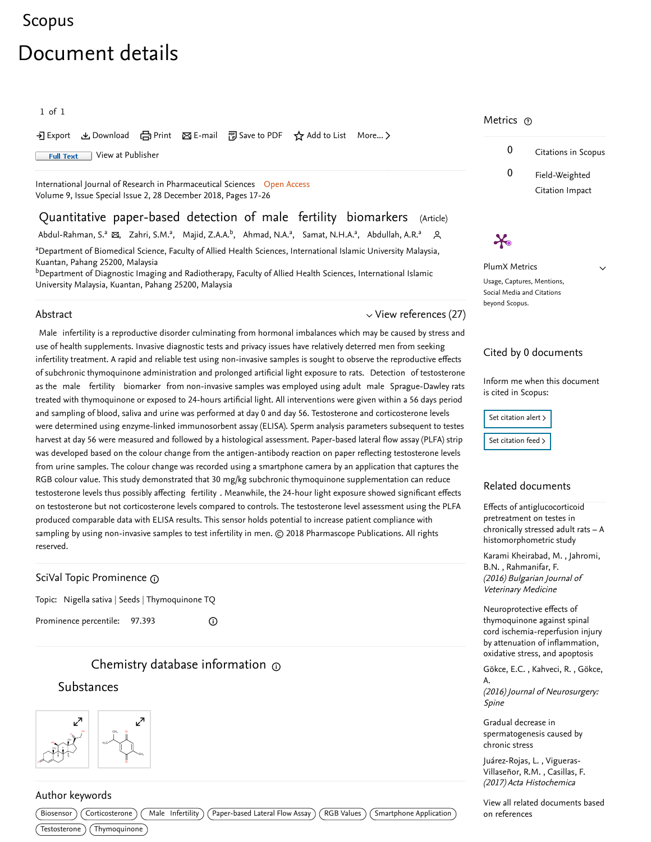# [Scopus](https://www.scopus.com/home.uri?zone=header&origin=searchbasic)

# Document details

1 of 1

• Export と Download (日 Print 区 E-mail 約 Save to PDF ☆ Add to List More... >

**Full Text** [View at Publisher](https://www.scopus.com/redirect/linking.uri?targetURL=https%3a%2f%2fdoi.org%2f10.26452%2fijrps.v9iSPL2.1732&locationID=1&categoryID=4&eid=2-s2.0-85061555157&issn=09757538&linkType=ViewAtPublisher&year=2018&origin=recordpage&dig=584a42f237fa28dbc726f6b9e6ecf8c1&recordRank=)

[International Journal of Research in Pharmaceutical Sciences](https://www.scopus.com/sourceid/19700175778?origin=recordpage) Open Access Volume 9, Issue Special Issue 2, 28 December 2018, Pages 17-26

Quantitative paper-based detection of male fertility biomarkers (Article) [Abdul-Rahman, S.](https://www.scopus.com/authid/detail.uri?authorId=6602736795&eid=2-s2.0-85061555157)ª ⊠, [Zahri, S.M.](https://www.scopus.com/authid/detail.uri?authorId=57192273503&eid=2-s2.0-85061555157)ª, [Majid, Z.A.A.](https://www.scopus.com/authid/detail.uri?authorId=55316625100&eid=2-s2.0-85061555157)<sup>b</sup>, [Ahmad, N.A.](https://www.scopus.com/authid/detail.uri?authorId=57192272242&eid=2-s2.0-85061555157)ª, [Samat, N.H.A.](https://www.scopus.com/authid/detail.uri?authorId=56257823300&eid=2-s2.0-85061555157)ª, [Abdullah, A.R.](https://www.scopus.com/authid/detail.uri?authorId=57192266463&eid=2-s2.0-85061555157)<sup>s</sup> <sup>a</sup>

<sup>a</sup>Department of Biomedical Science, Faculty of Allied Health Sciences, International Islamic University Malaysia, Kuantan, Pahang 25200, Malaysia

 $^{\rm b}$ Department of Diagnostic Imaging and Radiotherapy, Faculty of Allied Health Sciences, International Islamic University Malaysia, Kuantan, Pahang 25200, Malaysia

#### Abstract

#### $\vee$  [View references \(27\)](#page-1-0)

Male infertility is a reproductive disorder culminating from hormonal imbalances which may be caused by stress and use of health supplements. Invasive diagnostic tests and privacy issues have relatively deterred men from seeking infertility treatment. A rapid and reliable test using non-invasive samples is sought to observe the reproductive effects of subchronic thymoquinone administration and prolonged artificial light exposure to rats. Detection of testosterone as the male fertility biomarker from non-invasive samples was employed using adult male Sprague-Dawley rats treated with thymoquinone or exposed to 24-hours artificial light. All interventions were given within a 56 days period and sampling of blood, saliva and urine was performed at day 0 and day 56. Testosterone and corticosterone levels were determined using enzyme-linked immunosorbent assay (ELISA). Sperm analysis parameters subsequent to testes harvest at day 56 were measured and followed by a histological assessment. Paper-based lateral flow assay (PLFA) strip was developed based on the colour change from the antigen-antibody reaction on paper reflecting testosterone levels from urine samples. The colour change was recorded using a smartphone camera by an application that captures the RGB colour value. This study demonstrated that 30 mg/kg subchronic thymoquinone supplementation can reduce testosterone levels thus possibly affecting fertility . Meanwhile, the 24-hour light exposure showed significant effects on testosterone but not corticosterone levels compared to controls. The testosterone level assessment using the PLFA produced comparable data with ELISA results. This sensor holds potential to increase patient compliance with sampling by using non-invasive samples to test infertility in men. © 2018 Pharmascope Publications. All rights reserved.

### SciVal Topic Prominence

Topic: Nigella sativa | Seeds | Thymoquinone TQ

Prominence percentile: 97.393

# [C](https://www.reaxys.com/?origin=Scopus)hemistry database information  $\omega$

 $\odot$ 

### Substances





## Metrics ල



 $\boldsymbol{\varkappa}$ PlumX Metrics

 $\vee$ 

Usage, Captures, Mentions, Social Media and Citations beyond Scopus.

#### Cited by 0 documents

Inform me when this document is cited in Scopus:

| Set citation alert > |
|----------------------|
| Set citation feed >  |

#### Related documents

Effects of antiglucocorticoid pretreatment on testes in [chronically stressed adult rats – A](https://www.scopus.com/record/display.uri?origin=recordpage&zone=relatedDocuments&eid=2-s2.0-85020420886&noHighlight=false&relpos=0) histomorphometric study

, [Karami Kheirabad, M.](https://www.scopus.com/authid/detail.uri?origin=recordpage&authorId=57192093984&zone=relatedDocuments) Jahromi, , B.N. [Rahmanifar, F.](https://www.scopus.com/authid/detail.uri?origin=recordpage&authorId=36716662600&zone=relatedDocuments) (2016) Bulgarian Journal of Veterinary Medicine

Neuroprotective effects of thymoquinone against spinal [cord ischemia-reperfusion injury](https://www.scopus.com/record/display.uri?origin=recordpage&zone=relatedDocuments&eid=2-s2.0-85020261227&noHighlight=false&relpos=1) by attenuation of inflammation, oxidative stress, and apoptosis

[, ,](https://www.scopus.com/authid/detail.uri?origin=recordpage&authorId=55112859400&zone=relatedDocuments)  [Gökce, E.C.](https://www.scopus.com/authid/detail.uri?origin=recordpage&authorId=55353502300&zone=relatedDocuments) Kahveci, R. Gökce, A.

(2016) Journal of Neurosurgery: Spine

Gradual decrease in [spermatogenesis caused by](https://www.scopus.com/record/display.uri?origin=recordpage&zone=relatedDocuments&eid=2-s2.0-85013480819&noHighlight=false&relpos=2) chronic stress

, [Juárez-Rojas, L.](https://www.scopus.com/authid/detail.uri?origin=recordpage&authorId=56453552800&zone=relatedDocuments) Vigueras- , [Villaseñor, R.M.](https://www.scopus.com/authid/detail.uri?origin=recordpage&authorId=55615098600&zone=relatedDocuments) [Casillas, F.](https://www.scopus.com/authid/detail.uri?origin=recordpage&authorId=56344304000&zone=relatedDocuments) (2017) Acta Histochemica

[View all related documents based](https://www.scopus.com/search/submit/mlt.uri?eid=2-s2.0-85061555157&src=s&all=true&origin=recordpage&method=ref&zone=relatedDocuments) on references